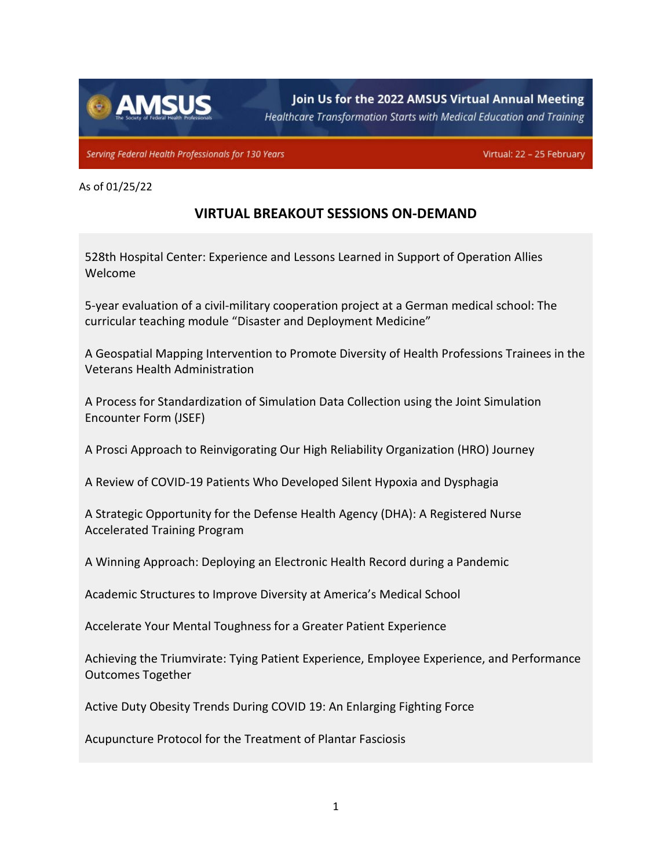

Join Us for the 2022 AMSUS Virtual Annual Meeting

Healthcare Transformation Starts with Medical Education and Training

Serving Federal Health Professionals for 130 Years

Virtual: 22 - 25 February

## As of 01/25/22

## **VIRTUAL BREAKOUT SESSIONS ON-DEMAND**

528th Hospital Center: Experience and Lessons Learned in Support of Operation Allies Welcome

5-year evaluation of a civil-military cooperation project at a German medical school: The curricular teaching module "Disaster and Deployment Medicine"

A Geospatial Mapping Intervention to Promote Diversity of Health Professions Trainees in the Veterans Health Administration

A Process for Standardization of Simulation Data Collection using the Joint Simulation Encounter Form (JSEF)

A Prosci Approach to Reinvigorating Our High Reliability Organization (HRO) Journey

A Review of COVID-19 Patients Who Developed Silent Hypoxia and Dysphagia

A Strategic Opportunity for the Defense Health Agency (DHA): A Registered Nurse Accelerated Training Program

A Winning Approach: Deploying an Electronic Health Record during a Pandemic

Academic Structures to Improve Diversity at America's Medical School

Accelerate Your Mental Toughness for a Greater Patient Experience

Achieving the Triumvirate: Tying Patient Experience, Employee Experience, and Performance Outcomes Together

Active Duty Obesity Trends During COVID 19: An Enlarging Fighting Force

Acupuncture Protocol for the Treatment of Plantar Fasciosis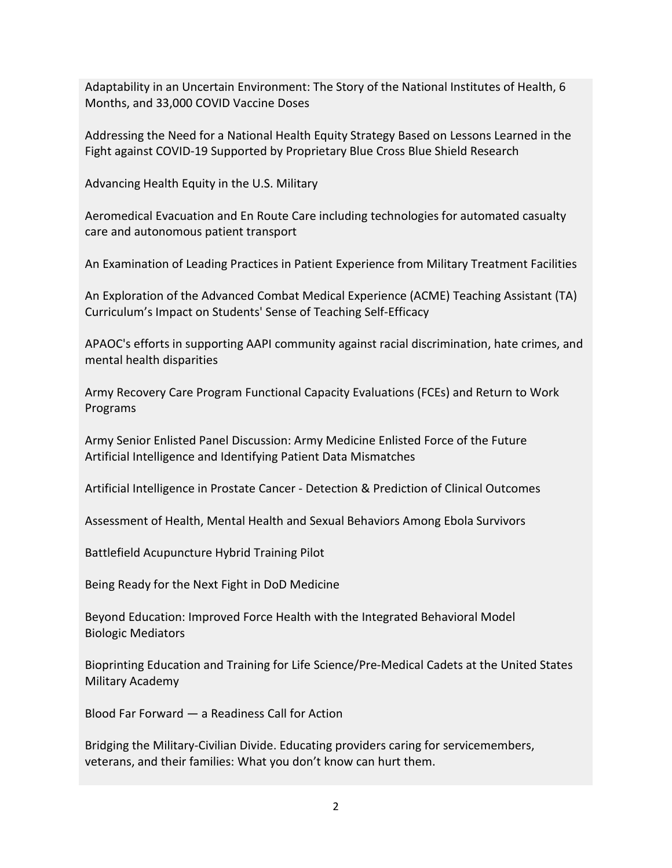Adaptability in an Uncertain Environment: The Story of the National Institutes of Health, 6 Months, and 33,000 COVID Vaccine Doses

Addressing the Need for a National Health Equity Strategy Based on Lessons Learned in the Fight against COVID-19 Supported by Proprietary Blue Cross Blue Shield Research

Advancing Health Equity in the U.S. Military

Aeromedical Evacuation and En Route Care including technologies for automated casualty care and autonomous patient transport

An Examination of Leading Practices in Patient Experience from Military Treatment Facilities

An Exploration of the Advanced Combat Medical Experience (ACME) Teaching Assistant (TA) Curriculum's Impact on Students' Sense of Teaching Self-Efficacy

APAOC's efforts in supporting AAPI community against racial discrimination, hate crimes, and mental health disparities

Army Recovery Care Program Functional Capacity Evaluations (FCEs) and Return to Work Programs

Army Senior Enlisted Panel Discussion: Army Medicine Enlisted Force of the Future Artificial Intelligence and Identifying Patient Data Mismatches

Artificial Intelligence in Prostate Cancer - Detection & Prediction of Clinical Outcomes

Assessment of Health, Mental Health and Sexual Behaviors Among Ebola Survivors

Battlefield Acupuncture Hybrid Training Pilot

Being Ready for the Next Fight in DoD Medicine

Beyond Education: Improved Force Health with the Integrated Behavioral Model Biologic Mediators

Bioprinting Education and Training for Life Science/Pre-Medical Cadets at the United States Military Academy

Blood Far Forward — a Readiness Call for Action

Bridging the Military-Civilian Divide. Educating providers caring for servicemembers, veterans, and their families: What you don't know can hurt them.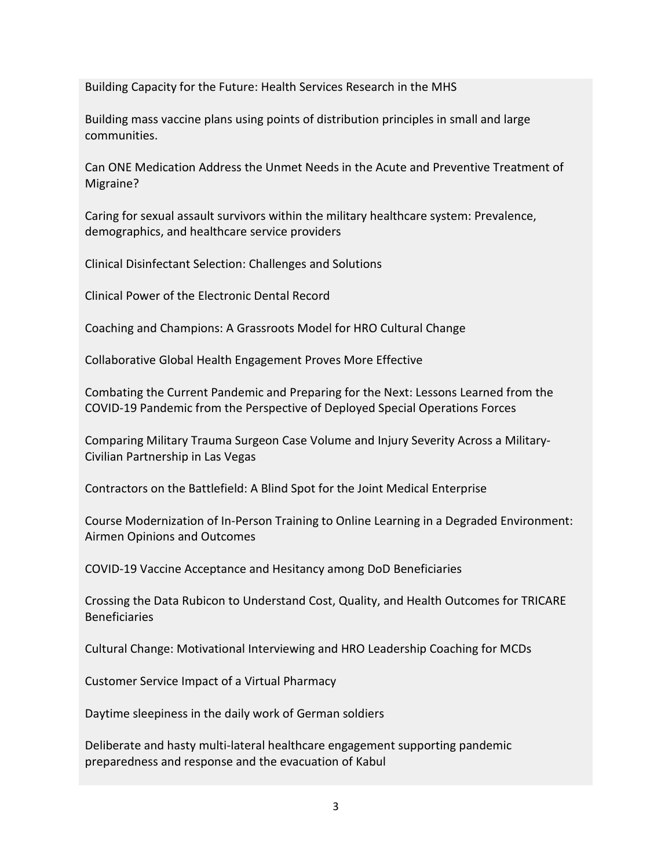Building Capacity for the Future: Health Services Research in the MHS

Building mass vaccine plans using points of distribution principles in small and large communities.

Can ONE Medication Address the Unmet Needs in the Acute and Preventive Treatment of Migraine?

Caring for sexual assault survivors within the military healthcare system: Prevalence, demographics, and healthcare service providers

Clinical Disinfectant Selection: Challenges and Solutions

Clinical Power of the Electronic Dental Record

Coaching and Champions: A Grassroots Model for HRO Cultural Change

Collaborative Global Health Engagement Proves More Effective

Combating the Current Pandemic and Preparing for the Next: Lessons Learned from the COVID-19 Pandemic from the Perspective of Deployed Special Operations Forces

Comparing Military Trauma Surgeon Case Volume and Injury Severity Across a Military-Civilian Partnership in Las Vegas

Contractors on the Battlefield: A Blind Spot for the Joint Medical Enterprise

Course Modernization of In-Person Training to Online Learning in a Degraded Environment: Airmen Opinions and Outcomes

COVID-19 Vaccine Acceptance and Hesitancy among DoD Beneficiaries

Crossing the Data Rubicon to Understand Cost, Quality, and Health Outcomes for TRICARE Beneficiaries

Cultural Change: Motivational Interviewing and HRO Leadership Coaching for MCDs

Customer Service Impact of a Virtual Pharmacy

Daytime sleepiness in the daily work of German soldiers

Deliberate and hasty multi-lateral healthcare engagement supporting pandemic preparedness and response and the evacuation of Kabul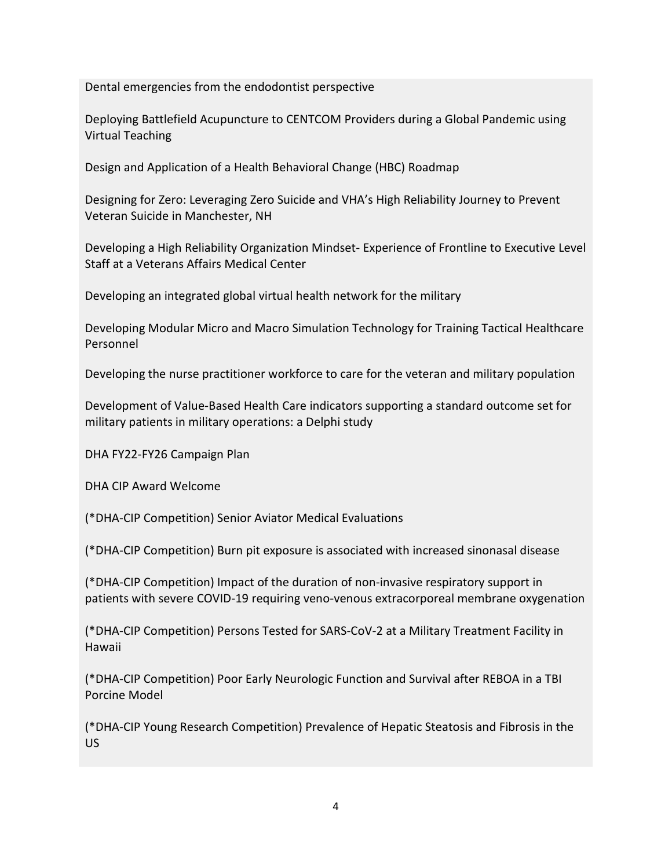Dental emergencies from the endodontist perspective

Deploying Battlefield Acupuncture to CENTCOM Providers during a Global Pandemic using Virtual Teaching

Design and Application of a Health Behavioral Change (HBC) Roadmap

Designing for Zero: Leveraging Zero Suicide and VHA's High Reliability Journey to Prevent Veteran Suicide in Manchester, NH

Developing a High Reliability Organization Mindset- Experience of Frontline to Executive Level Staff at a Veterans Affairs Medical Center

Developing an integrated global virtual health network for the military

Developing Modular Micro and Macro Simulation Technology for Training Tactical Healthcare Personnel

Developing the nurse practitioner workforce to care for the veteran and military population

Development of Value-Based Health Care indicators supporting a standard outcome set for military patients in military operations: a Delphi study

DHA FY22-FY26 Campaign Plan

DHA CIP Award Welcome

(\*DHA-CIP Competition) Senior Aviator Medical Evaluations

(\*DHA-CIP Competition) Burn pit exposure is associated with increased sinonasal disease

(\*DHA-CIP Competition) Impact of the duration of non-invasive respiratory support in patients with severe COVID-19 requiring veno-venous extracorporeal membrane oxygenation

(\*DHA-CIP Competition) Persons Tested for SARS-CoV-2 at a Military Treatment Facility in Hawaii

(\*DHA-CIP Competition) Poor Early Neurologic Function and Survival after REBOA in a TBI Porcine Model

(\*DHA-CIP Young Research Competition) Prevalence of Hepatic Steatosis and Fibrosis in the US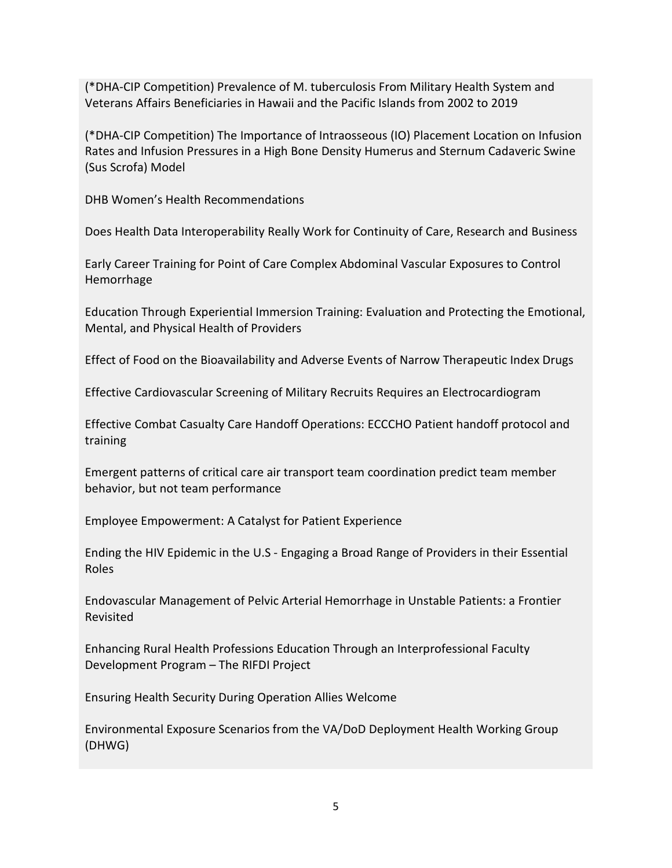(\*DHA-CIP Competition) Prevalence of M. tuberculosis From Military Health System and Veterans Affairs Beneficiaries in Hawaii and the Pacific Islands from 2002 to 2019

(\*DHA-CIP Competition) The Importance of Intraosseous (IO) Placement Location on Infusion Rates and Infusion Pressures in a High Bone Density Humerus and Sternum Cadaveric Swine (Sus Scrofa) Model

DHB Women's Health Recommendations

Does Health Data Interoperability Really Work for Continuity of Care, Research and Business

Early Career Training for Point of Care Complex Abdominal Vascular Exposures to Control Hemorrhage

Education Through Experiential Immersion Training: Evaluation and Protecting the Emotional, Mental, and Physical Health of Providers

Effect of Food on the Bioavailability and Adverse Events of Narrow Therapeutic Index Drugs

Effective Cardiovascular Screening of Military Recruits Requires an Electrocardiogram

Effective Combat Casualty Care Handoff Operations: ECCCHO Patient handoff protocol and training

Emergent patterns of critical care air transport team coordination predict team member behavior, but not team performance

Employee Empowerment: A Catalyst for Patient Experience

Ending the HIV Epidemic in the U.S - Engaging a Broad Range of Providers in their Essential Roles

Endovascular Management of Pelvic Arterial Hemorrhage in Unstable Patients: a Frontier Revisited

Enhancing Rural Health Professions Education Through an Interprofessional Faculty Development Program – The RIFDI Project

Ensuring Health Security During Operation Allies Welcome

Environmental Exposure Scenarios from the VA/DoD Deployment Health Working Group (DHWG)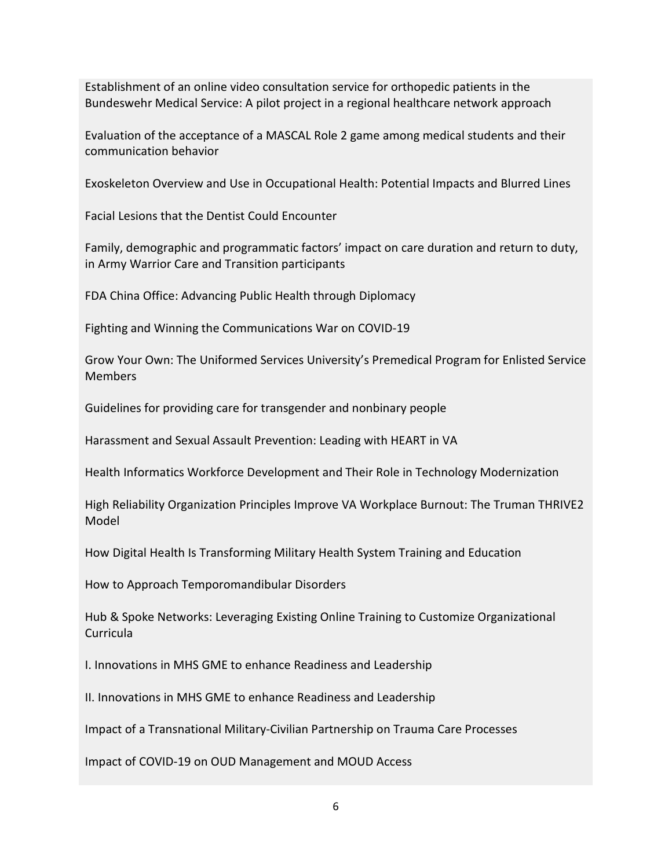Establishment of an online video consultation service for orthopedic patients in the Bundeswehr Medical Service: A pilot project in a regional healthcare network approach

Evaluation of the acceptance of a MASCAL Role 2 game among medical students and their communication behavior

Exoskeleton Overview and Use in Occupational Health: Potential Impacts and Blurred Lines

Facial Lesions that the Dentist Could Encounter

Family, demographic and programmatic factors' impact on care duration and return to duty, in Army Warrior Care and Transition participants

FDA China Office: Advancing Public Health through Diplomacy

Fighting and Winning the Communications War on COVID-19

Grow Your Own: The Uniformed Services University's Premedical Program for Enlisted Service **Members** 

Guidelines for providing care for transgender and nonbinary people

Harassment and Sexual Assault Prevention: Leading with HEART in VA

Health Informatics Workforce Development and Their Role in Technology Modernization

High Reliability Organization Principles Improve VA Workplace Burnout: The Truman THRIVE2 Model

How Digital Health Is Transforming Military Health System Training and Education

How to Approach Temporomandibular Disorders

Hub & Spoke Networks: Leveraging Existing Online Training to Customize Organizational Curricula

I. Innovations in MHS GME to enhance Readiness and Leadership

II. Innovations in MHS GME to enhance Readiness and Leadership

Impact of a Transnational Military-Civilian Partnership on Trauma Care Processes

Impact of COVID-19 on OUD Management and MOUD Access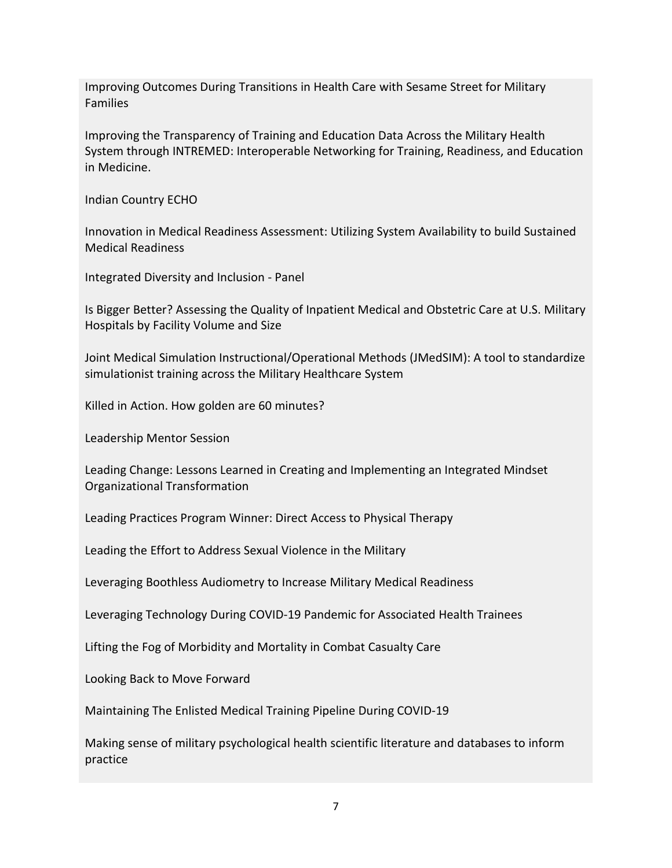Improving Outcomes During Transitions in Health Care with Sesame Street for Military Families

Improving the Transparency of Training and Education Data Across the Military Health System through INTREMED: Interoperable Networking for Training, Readiness, and Education in Medicine.

Indian Country ECHO

Innovation in Medical Readiness Assessment: Utilizing System Availability to build Sustained Medical Readiness

Integrated Diversity and Inclusion - Panel

Is Bigger Better? Assessing the Quality of Inpatient Medical and Obstetric Care at U.S. Military Hospitals by Facility Volume and Size

Joint Medical Simulation Instructional/Operational Methods (JMedSIM): A tool to standardize simulationist training across the Military Healthcare System

Killed in Action. How golden are 60 minutes?

Leadership Mentor Session

Leading Change: Lessons Learned in Creating and Implementing an Integrated Mindset Organizational Transformation

Leading Practices Program Winner: Direct Access to Physical Therapy

Leading the Effort to Address Sexual Violence in the Military

Leveraging Boothless Audiometry to Increase Military Medical Readiness

Leveraging Technology During COVID-19 Pandemic for Associated Health Trainees

Lifting the Fog of Morbidity and Mortality in Combat Casualty Care

Looking Back to Move Forward

Maintaining The Enlisted Medical Training Pipeline During COVID-19

Making sense of military psychological health scientific literature and databases to inform practice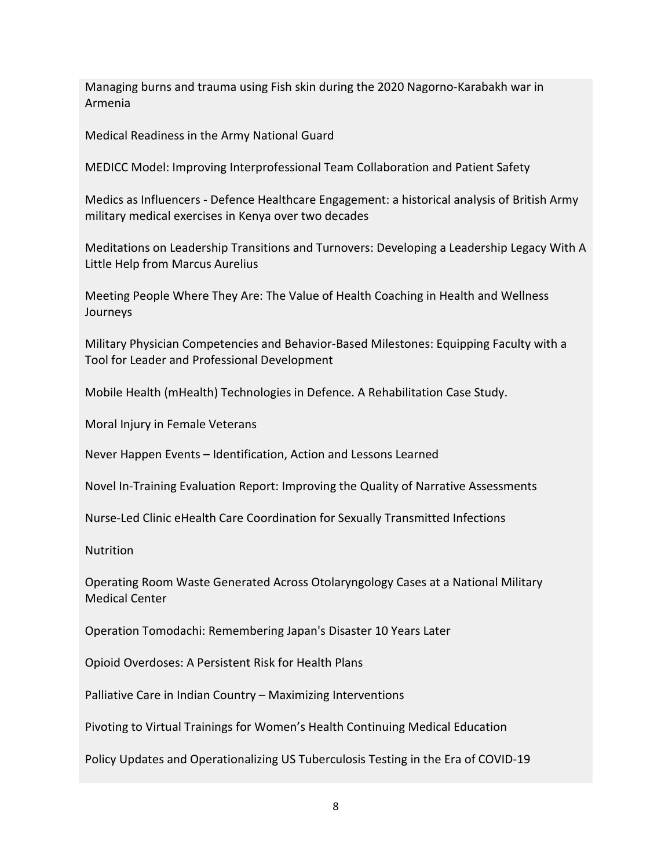Managing burns and trauma using Fish skin during the 2020 Nagorno-Karabakh war in Armenia

Medical Readiness in the Army National Guard

MEDICC Model: Improving Interprofessional Team Collaboration and Patient Safety

Medics as Influencers - Defence Healthcare Engagement: a historical analysis of British Army military medical exercises in Kenya over two decades

Meditations on Leadership Transitions and Turnovers: Developing a Leadership Legacy With A Little Help from Marcus Aurelius

Meeting People Where They Are: The Value of Health Coaching in Health and Wellness Journeys

Military Physician Competencies and Behavior-Based Milestones: Equipping Faculty with a Tool for Leader and Professional Development

Mobile Health (mHealth) Technologies in Defence. A Rehabilitation Case Study.

Moral Injury in Female Veterans

Never Happen Events – Identification, Action and Lessons Learned

Novel In-Training Evaluation Report: Improving the Quality of Narrative Assessments

Nurse-Led Clinic eHealth Care Coordination for Sexually Transmitted Infections

**Nutrition** 

Operating Room Waste Generated Across Otolaryngology Cases at a National Military Medical Center

Operation Tomodachi: Remembering Japan's Disaster 10 Years Later

Opioid Overdoses: A Persistent Risk for Health Plans

Palliative Care in Indian Country – Maximizing Interventions

Pivoting to Virtual Trainings for Women's Health Continuing Medical Education

Policy Updates and Operationalizing US Tuberculosis Testing in the Era of COVID-19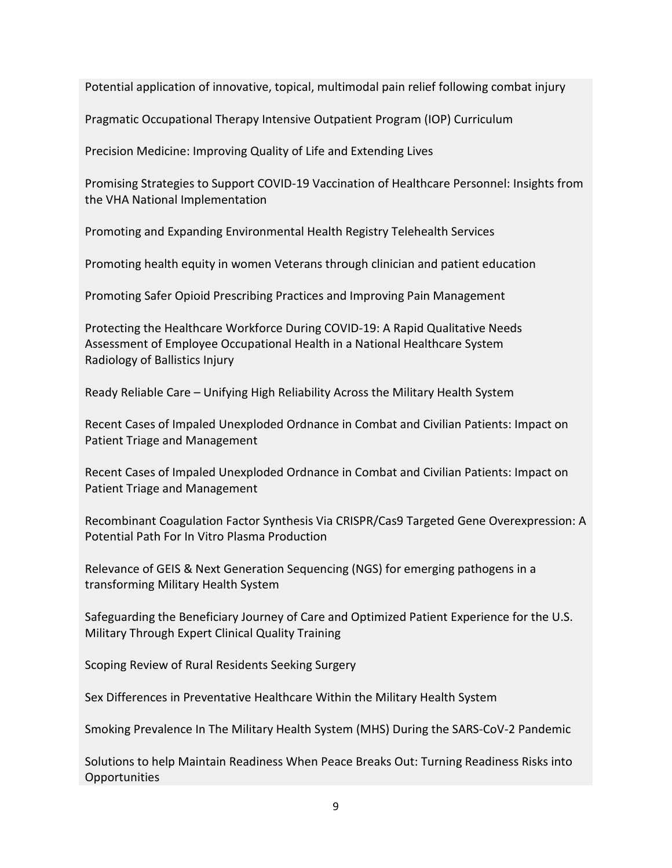Potential application of innovative, topical, multimodal pain relief following combat injury

Pragmatic Occupational Therapy Intensive Outpatient Program (IOP) Curriculum

Precision Medicine: Improving Quality of Life and Extending Lives

Promising Strategies to Support COVID-19 Vaccination of Healthcare Personnel: Insights from the VHA National Implementation

Promoting and Expanding Environmental Health Registry Telehealth Services

Promoting health equity in women Veterans through clinician and patient education

Promoting Safer Opioid Prescribing Practices and Improving Pain Management

Protecting the Healthcare Workforce During COVID-19: A Rapid Qualitative Needs Assessment of Employee Occupational Health in a National Healthcare System Radiology of Ballistics Injury

Ready Reliable Care – Unifying High Reliability Across the Military Health System

Recent Cases of Impaled Unexploded Ordnance in Combat and Civilian Patients: Impact on Patient Triage and Management

Recent Cases of Impaled Unexploded Ordnance in Combat and Civilian Patients: Impact on Patient Triage and Management

Recombinant Coagulation Factor Synthesis Via CRISPR/Cas9 Targeted Gene Overexpression: A Potential Path For In Vitro Plasma Production

Relevance of GEIS & Next Generation Sequencing (NGS) for emerging pathogens in a transforming Military Health System

Safeguarding the Beneficiary Journey of Care and Optimized Patient Experience for the U.S. Military Through Expert Clinical Quality Training

Scoping Review of Rural Residents Seeking Surgery

Sex Differences in Preventative Healthcare Within the Military Health System

Smoking Prevalence In The Military Health System (MHS) During the SARS-CoV-2 Pandemic

Solutions to help Maintain Readiness When Peace Breaks Out: Turning Readiness Risks into Opportunities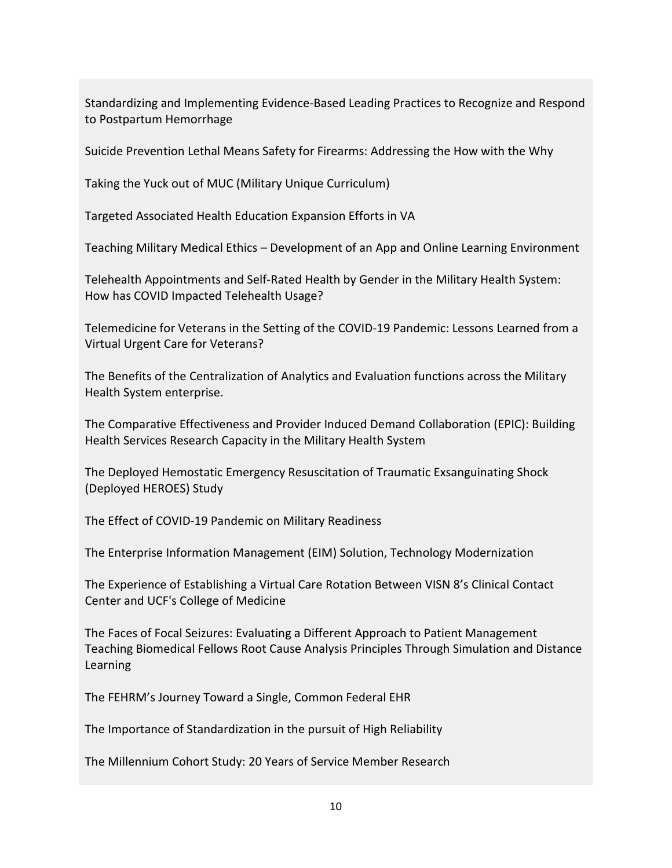Standardizing and Implementing Evidence-Based Leading Practices to Recognize and Respond to Postpartum Hemorrhage

Suicide Prevention Lethal Means Safety for Firearms: Addressing the How with the Why

Taking the Yuck out of MUC (Military Unique Curriculum)

Targeted Associated Health Education Expansion Efforts in VA

Teaching Military Medical Ethics – Development of an App and Online Learning Environment

Telehealth Appointments and Self-Rated Health by Gender in the Military Health System: How has COVID Impacted Telehealth Usage?

Telemedicine for Veterans in the Setting of the COVID-19 Pandemic: Lessons Learned from a Virtual Urgent Care for Veterans?

The Benefits of the Centralization of Analytics and Evaluation functions across the Military Health System enterprise.

The Comparative Effectiveness and Provider Induced Demand Collaboration (EPIC): Building Health Services Research Capacity in the Military Health System

The Deployed Hemostatic Emergency Resuscitation of Traumatic Exsanguinating Shock (Deployed HEROES) Study

The Effect of COVID-19 Pandemic on Military Readiness

The Enterprise Information Management (EIM) Solution, Technology Modernization

The Experience of Establishing a Virtual Care Rotation Between VISN 8's Clinical Contact Center and UCF's College of Medicine

The Faces of Focal Seizures: Evaluating a Different Approach to Patient Management Teaching Biomedical Fellows Root Cause Analysis Principles Through Simulation and Distance Learning

The FEHRM's Journey Toward a Single, Common Federal EHR

The Importance of Standardization in the pursuit of High Reliability

The Millennium Cohort Study: 20 Years of Service Member Research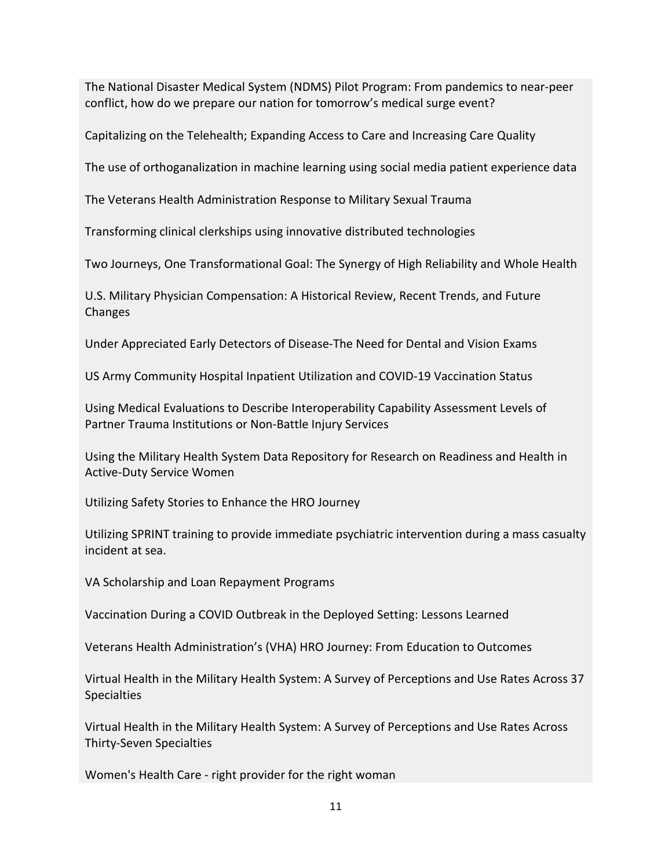The National Disaster Medical System (NDMS) Pilot Program: From pandemics to near-peer conflict, how do we prepare our nation for tomorrow's medical surge event?

Capitalizing on the Telehealth; Expanding Access to Care and Increasing Care Quality

The use of orthoganalization in machine learning using social media patient experience data

The Veterans Health Administration Response to Military Sexual Trauma

Transforming clinical clerkships using innovative distributed technologies

Two Journeys, One Transformational Goal: The Synergy of High Reliability and Whole Health

U.S. Military Physician Compensation: A Historical Review, Recent Trends, and Future Changes

Under Appreciated Early Detectors of Disease-The Need for Dental and Vision Exams

US Army Community Hospital Inpatient Utilization and COVID-19 Vaccination Status

Using Medical Evaluations to Describe Interoperability Capability Assessment Levels of Partner Trauma Institutions or Non-Battle Injury Services

Using the Military Health System Data Repository for Research on Readiness and Health in Active-Duty Service Women

Utilizing Safety Stories to Enhance the HRO Journey

Utilizing SPRINT training to provide immediate psychiatric intervention during a mass casualty incident at sea.

VA Scholarship and Loan Repayment Programs

Vaccination During a COVID Outbreak in the Deployed Setting: Lessons Learned

Veterans Health Administration's (VHA) HRO Journey: From Education to Outcomes

Virtual Health in the Military Health System: A Survey of Perceptions and Use Rates Across 37 **Specialties** 

Virtual Health in the Military Health System: A Survey of Perceptions and Use Rates Across Thirty-Seven Specialties

Women's Health Care - right provider for the right woman